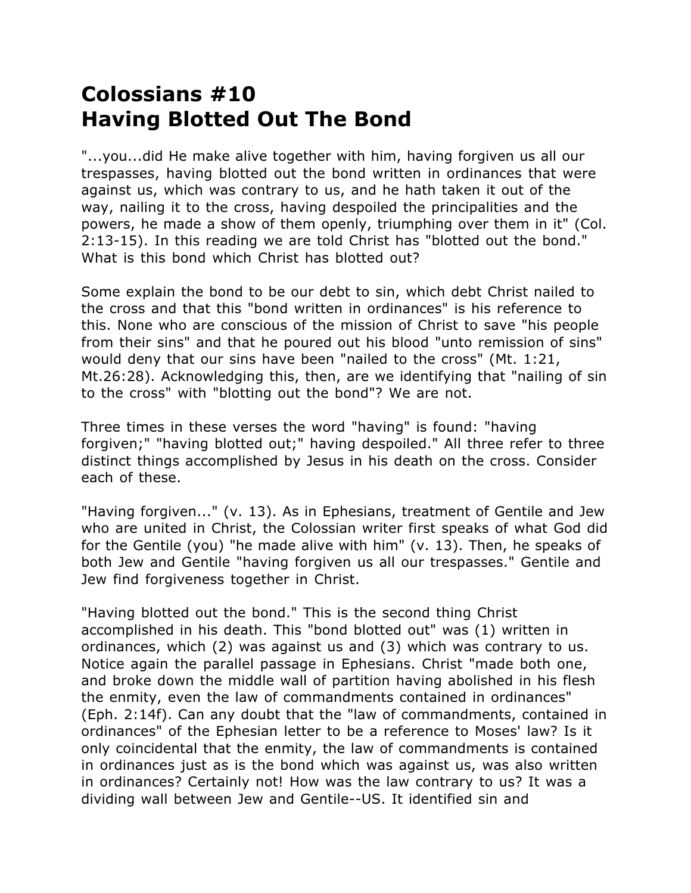## **Colossians #10 Having Blotted Out The Bond**

"...you...did He make alive together with him, having forgiven us all our trespasses, having blotted out the bond written in ordinances that were against us, which was contrary to us, and he hath taken it out of the way, nailing it to the cross, having despoiled the principalities and the powers, he made a show of them openly, triumphing over them in it" (Col. 2:13-15). In this reading we are told Christ has "blotted out the bond." What is this bond which Christ has blotted out?

Some explain the bond to be our debt to sin, which debt Christ nailed to the cross and that this "bond written in ordinances" is his reference to this. None who are conscious of the mission of Christ to save "his people from their sins" and that he poured out his blood "unto remission of sins" would deny that our sins have been "nailed to the cross" (Mt. 1:21, Mt.26:28). Acknowledging this, then, are we identifying that "nailing of sin to the cross" with "blotting out the bond"? We are not.

Three times in these verses the word "having" is found: "having forgiven;" "having blotted out;" having despoiled." All three refer to three distinct things accomplished by Jesus in his death on the cross. Consider each of these.

"Having forgiven..." (v. 13). As in Ephesians, treatment of Gentile and Jew who are united in Christ, the Colossian writer first speaks of what God did for the Gentile (you) "he made alive with him" (v. 13). Then, he speaks of both Jew and Gentile "having forgiven us all our trespasses." Gentile and Jew find forgiveness together in Christ.

"Having blotted out the bond." This is the second thing Christ accomplished in his death. This "bond blotted out" was (1) written in ordinances, which (2) was against us and (3) which was contrary to us. Notice again the parallel passage in Ephesians. Christ "made both one, and broke down the middle wall of partition having abolished in his flesh the enmity, even the law of commandments contained in ordinances" (Eph. 2:14f). Can any doubt that the "law of commandments, contained in ordinances" of the Ephesian letter to be a reference to Moses' law? Is it only coincidental that the enmity, the law of commandments is contained in ordinances just as is the bond which was against us, was also written in ordinances? Certainly not! How was the law contrary to us? It was a dividing wall between Jew and Gentile--US. It identified sin and